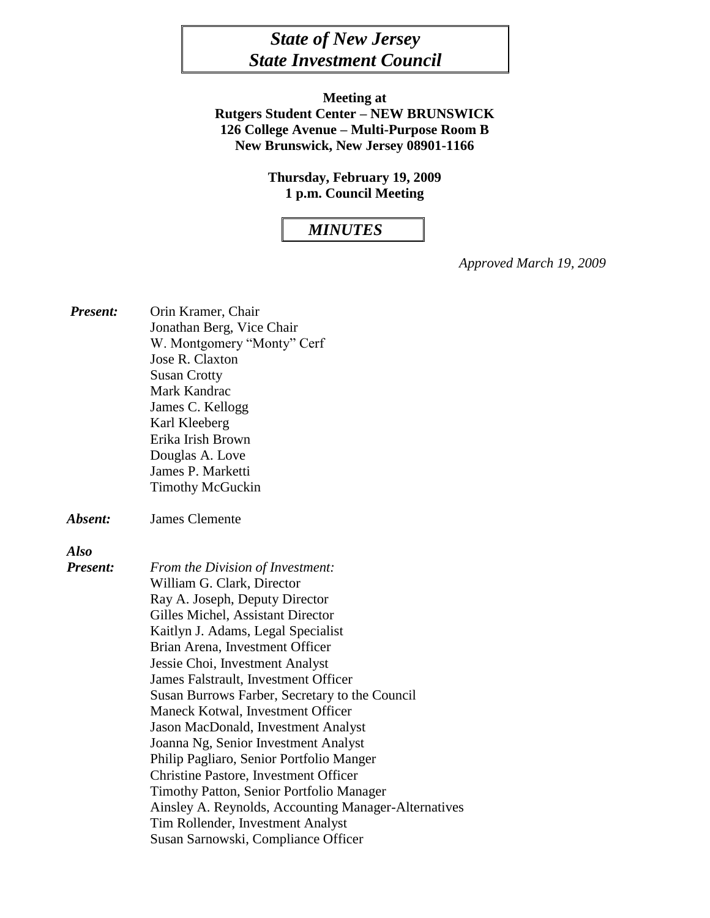# *State of New Jersey State Investment Council*

**Meeting at Rutgers Student Center – NEW BRUNSWICK 126 College Avenue – Multi-Purpose Room B New Brunswick, New Jersey 08901-1166**

> **Thursday, February 19, 2009 1 p.m. Council Meeting**

#### *MINUTES*

*Approved March 19, 2009*

*Present:* Orin Kramer, Chair Jonathan Berg, Vice Chair W. Montgomery "Monty" Cerf Jose R. Claxton Susan Crotty Mark Kandrac James C. Kellogg Karl Kleeberg Erika Irish Brown Douglas A. Love James P. Marketti Timothy McGuckin

*Absent:* James Clemente

*Also* 

*Present: From the Division of Investment:* William G. Clark, Director Ray A. Joseph, Deputy Director Gilles Michel, Assistant Director Kaitlyn J. Adams, Legal Specialist Brian Arena, Investment Officer Jessie Choi, Investment Analyst James Falstrault, Investment Officer Susan Burrows Farber, Secretary to the Council Maneck Kotwal, Investment Officer Jason MacDonald, Investment Analyst Joanna Ng, Senior Investment Analyst Philip Pagliaro, Senior Portfolio Manger Christine Pastore, Investment Officer Timothy Patton, Senior Portfolio Manager Ainsley A. Reynolds, Accounting Manager-Alternatives Tim Rollender, Investment Analyst Susan Sarnowski, Compliance Officer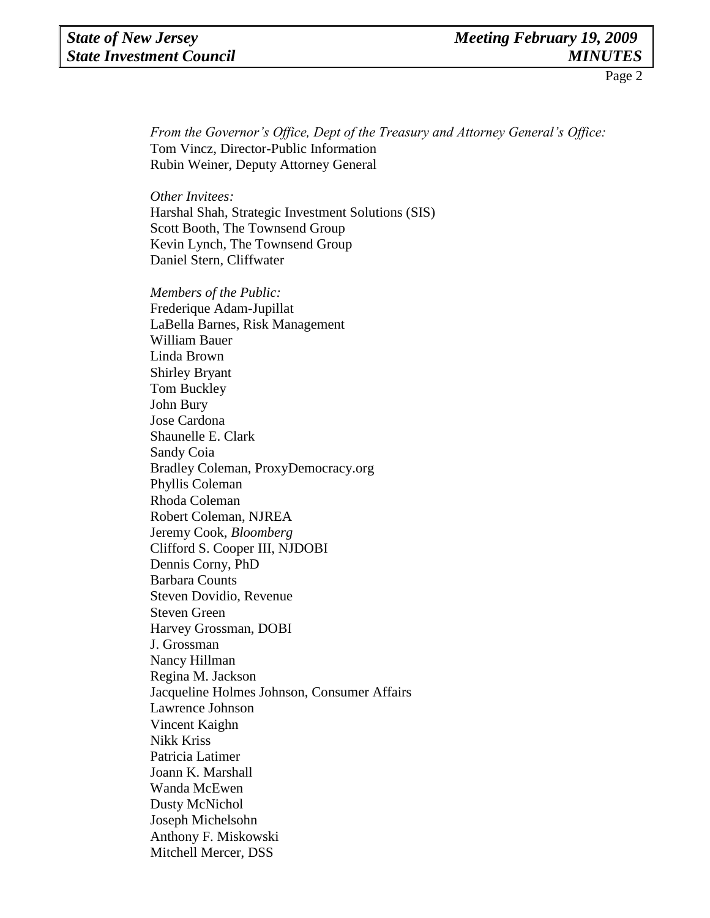*From the Governor's Office, Dept of the Treasury and Attorney General's Office:* Tom Vincz, Director-Public Information Rubin Weiner, Deputy Attorney General

*Other Invitees:*

Harshal Shah, Strategic Investment Solutions (SIS) Scott Booth, The Townsend Group Kevin Lynch, The Townsend Group Daniel Stern, Cliffwater

*Members of the Public:*  Frederique Adam-Jupillat LaBella Barnes, Risk Management William Bauer Linda Brown Shirley Bryant Tom Buckley John Bury Jose Cardona Shaunelle E. Clark Sandy Coia Bradley Coleman, ProxyDemocracy.org Phyllis Coleman Rhoda Coleman Robert Coleman, NJREA Jeremy Cook, *Bloomberg* Clifford S. Cooper III, NJDOBI Dennis Corny, PhD Barbara Counts Steven Dovidio, Revenue Steven Green Harvey Grossman, DOBI J. Grossman Nancy Hillman Regina M. Jackson Jacqueline Holmes Johnson, Consumer Affairs Lawrence Johnson Vincent Kaighn Nikk Kriss Patricia Latimer Joann K. Marshall Wanda McEwen Dusty McNichol Joseph Michelsohn Anthony F. Miskowski Mitchell Mercer, DSS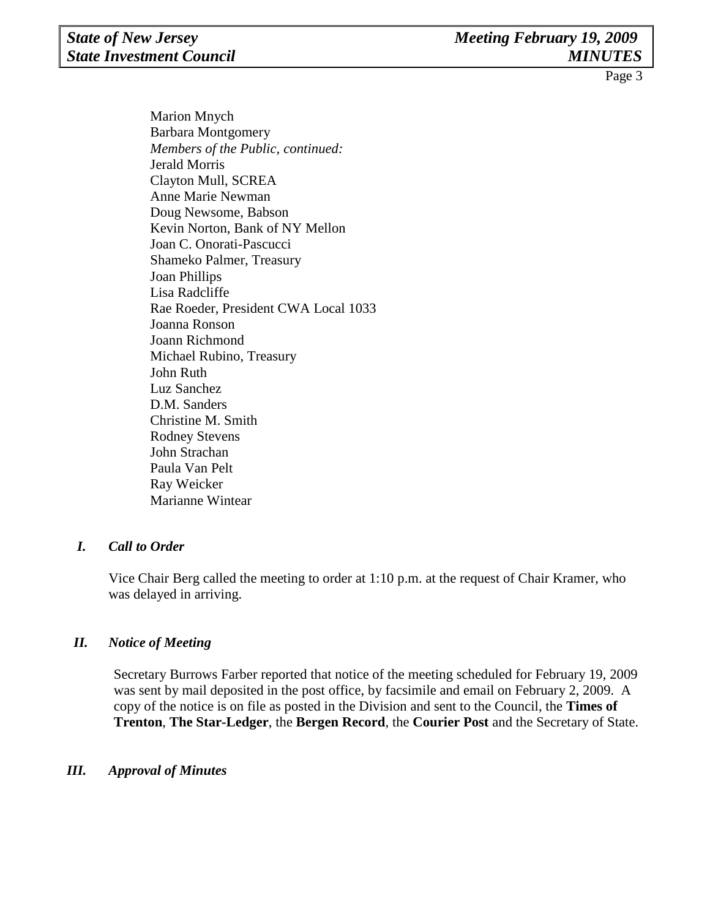Marion Mnych Barbara Montgomery *Members of the Public, continued:*  Jerald Morris Clayton Mull, SCREA Anne Marie Newman Doug Newsome, Babson Kevin Norton, Bank of NY Mellon Joan C. Onorati-Pascucci Shameko Palmer, Treasury Joan Phillips Lisa Radcliffe Rae Roeder, President CWA Local 1033 Joanna Ronson Joann Richmond Michael Rubino, Treasury John Ruth Luz Sanchez D.M. Sanders Christine M. Smith Rodney Stevens John Strachan Paula Van Pelt Ray Weicker Marianne Wintear

#### *I. Call to Order*

Vice Chair Berg called the meeting to order at 1:10 p.m. at the request of Chair Kramer, who was delayed in arriving.

#### *II. Notice of Meeting*

Secretary Burrows Farber reported that notice of the meeting scheduled for February 19, 2009 was sent by mail deposited in the post office, by facsimile and email on February 2, 2009. A copy of the notice is on file as posted in the Division and sent to the Council, the **Times of Trenton**, **The Star-Ledger**, the **Bergen Record**, the **Courier Post** and the Secretary of State.

#### *III. Approval of Minutes*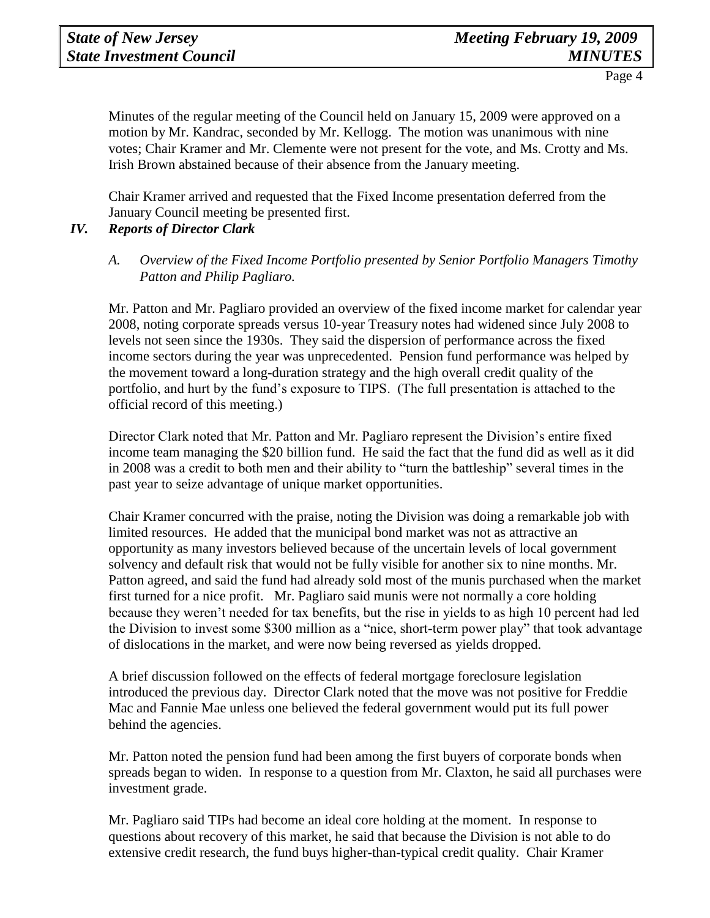Minutes of the regular meeting of the Council held on January 15, 2009 were approved on a motion by Mr. Kandrac, seconded by Mr. Kellogg. The motion was unanimous with nine votes; Chair Kramer and Mr. Clemente were not present for the vote, and Ms. Crotty and Ms. Irish Brown abstained because of their absence from the January meeting.

Chair Kramer arrived and requested that the Fixed Income presentation deferred from the January Council meeting be presented first.

#### *IV. Reports of Director Clark*

#### *A. Overview of the Fixed Income Portfolio presented by Senior Portfolio Managers Timothy Patton and Philip Pagliaro.*

Mr. Patton and Mr. Pagliaro provided an overview of the fixed income market for calendar year 2008, noting corporate spreads versus 10-year Treasury notes had widened since July 2008 to levels not seen since the 1930s. They said the dispersion of performance across the fixed income sectors during the year was unprecedented. Pension fund performance was helped by the movement toward a long-duration strategy and the high overall credit quality of the portfolio, and hurt by the fund's exposure to TIPS. (The full presentation is attached to the official record of this meeting.)

Director Clark noted that Mr. Patton and Mr. Pagliaro represent the Division's entire fixed income team managing the \$20 billion fund. He said the fact that the fund did as well as it did in 2008 was a credit to both men and their ability to "turn the battleship" several times in the past year to seize advantage of unique market opportunities.

Chair Kramer concurred with the praise, noting the Division was doing a remarkable job with limited resources. He added that the municipal bond market was not as attractive an opportunity as many investors believed because of the uncertain levels of local government solvency and default risk that would not be fully visible for another six to nine months. Mr. Patton agreed, and said the fund had already sold most of the munis purchased when the market first turned for a nice profit. Mr. Pagliaro said munis were not normally a core holding because they weren't needed for tax benefits, but the rise in yields to as high 10 percent had led the Division to invest some \$300 million as a "nice, short-term power play" that took advantage of dislocations in the market, and were now being reversed as yields dropped.

A brief discussion followed on the effects of federal mortgage foreclosure legislation introduced the previous day. Director Clark noted that the move was not positive for Freddie Mac and Fannie Mae unless one believed the federal government would put its full power behind the agencies.

Mr. Patton noted the pension fund had been among the first buyers of corporate bonds when spreads began to widen. In response to a question from Mr. Claxton, he said all purchases were investment grade.

Mr. Pagliaro said TIPs had become an ideal core holding at the moment. In response to questions about recovery of this market, he said that because the Division is not able to do extensive credit research, the fund buys higher-than-typical credit quality. Chair Kramer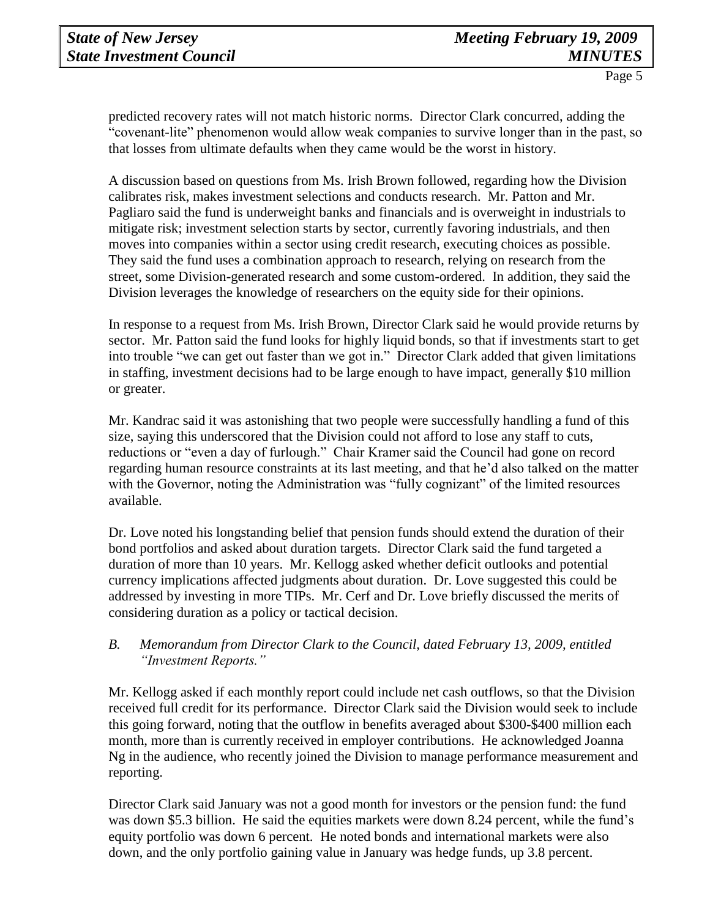predicted recovery rates will not match historic norms. Director Clark concurred, adding the "covenant-lite" phenomenon would allow weak companies to survive longer than in the past, so that losses from ultimate defaults when they came would be the worst in history.

A discussion based on questions from Ms. Irish Brown followed, regarding how the Division calibrates risk, makes investment selections and conducts research. Mr. Patton and Mr. Pagliaro said the fund is underweight banks and financials and is overweight in industrials to mitigate risk; investment selection starts by sector, currently favoring industrials, and then moves into companies within a sector using credit research, executing choices as possible. They said the fund uses a combination approach to research, relying on research from the street, some Division-generated research and some custom-ordered. In addition, they said the Division leverages the knowledge of researchers on the equity side for their opinions.

In response to a request from Ms. Irish Brown, Director Clark said he would provide returns by sector. Mr. Patton said the fund looks for highly liquid bonds, so that if investments start to get into trouble "we can get out faster than we got in." Director Clark added that given limitations in staffing, investment decisions had to be large enough to have impact, generally \$10 million or greater.

Mr. Kandrac said it was astonishing that two people were successfully handling a fund of this size, saying this underscored that the Division could not afford to lose any staff to cuts, reductions or "even a day of furlough." Chair Kramer said the Council had gone on record regarding human resource constraints at its last meeting, and that he'd also talked on the matter with the Governor, noting the Administration was "fully cognizant" of the limited resources available.

Dr. Love noted his longstanding belief that pension funds should extend the duration of their bond portfolios and asked about duration targets. Director Clark said the fund targeted a duration of more than 10 years. Mr. Kellogg asked whether deficit outlooks and potential currency implications affected judgments about duration. Dr. Love suggested this could be addressed by investing in more TIPs. Mr. Cerf and Dr. Love briefly discussed the merits of considering duration as a policy or tactical decision.

#### *B. Memorandum from Director Clark to the Council, dated February 13, 2009, entitled "Investment Reports."*

Mr. Kellogg asked if each monthly report could include net cash outflows, so that the Division received full credit for its performance. Director Clark said the Division would seek to include this going forward, noting that the outflow in benefits averaged about \$300-\$400 million each month, more than is currently received in employer contributions. He acknowledged Joanna Ng in the audience, who recently joined the Division to manage performance measurement and reporting.

Director Clark said January was not a good month for investors or the pension fund: the fund was down \$5.3 billion. He said the equities markets were down 8.24 percent, while the fund's equity portfolio was down 6 percent. He noted bonds and international markets were also down, and the only portfolio gaining value in January was hedge funds, up 3.8 percent.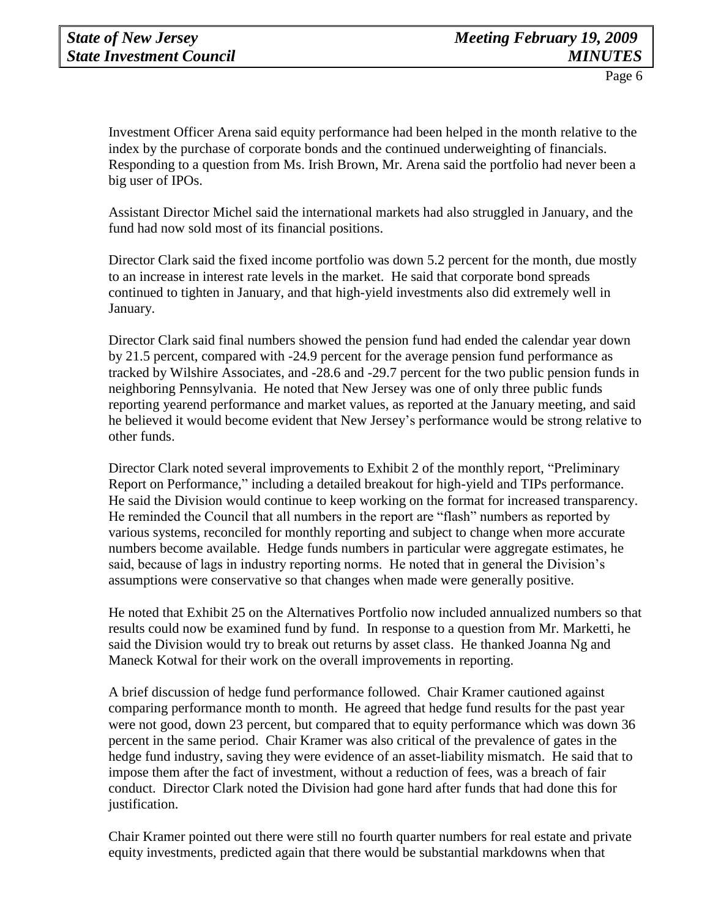Investment Officer Arena said equity performance had been helped in the month relative to the index by the purchase of corporate bonds and the continued underweighting of financials. Responding to a question from Ms. Irish Brown, Mr. Arena said the portfolio had never been a big user of IPOs.

Assistant Director Michel said the international markets had also struggled in January, and the fund had now sold most of its financial positions.

Director Clark said the fixed income portfolio was down 5.2 percent for the month, due mostly to an increase in interest rate levels in the market. He said that corporate bond spreads continued to tighten in January, and that high-yield investments also did extremely well in January.

Director Clark said final numbers showed the pension fund had ended the calendar year down by 21.5 percent, compared with -24.9 percent for the average pension fund performance as tracked by Wilshire Associates, and -28.6 and -29.7 percent for the two public pension funds in neighboring Pennsylvania. He noted that New Jersey was one of only three public funds reporting yearend performance and market values, as reported at the January meeting, and said he believed it would become evident that New Jersey's performance would be strong relative to other funds.

Director Clark noted several improvements to Exhibit 2 of the monthly report, "Preliminary Report on Performance," including a detailed breakout for high-yield and TIPs performance. He said the Division would continue to keep working on the format for increased transparency. He reminded the Council that all numbers in the report are "flash" numbers as reported by various systems, reconciled for monthly reporting and subject to change when more accurate numbers become available. Hedge funds numbers in particular were aggregate estimates, he said, because of lags in industry reporting norms. He noted that in general the Division's assumptions were conservative so that changes when made were generally positive.

He noted that Exhibit 25 on the Alternatives Portfolio now included annualized numbers so that results could now be examined fund by fund. In response to a question from Mr. Marketti, he said the Division would try to break out returns by asset class. He thanked Joanna Ng and Maneck Kotwal for their work on the overall improvements in reporting.

A brief discussion of hedge fund performance followed. Chair Kramer cautioned against comparing performance month to month. He agreed that hedge fund results for the past year were not good, down 23 percent, but compared that to equity performance which was down 36 percent in the same period. Chair Kramer was also critical of the prevalence of gates in the hedge fund industry, saving they were evidence of an asset-liability mismatch. He said that to impose them after the fact of investment, without a reduction of fees, was a breach of fair conduct. Director Clark noted the Division had gone hard after funds that had done this for justification.

Chair Kramer pointed out there were still no fourth quarter numbers for real estate and private equity investments, predicted again that there would be substantial markdowns when that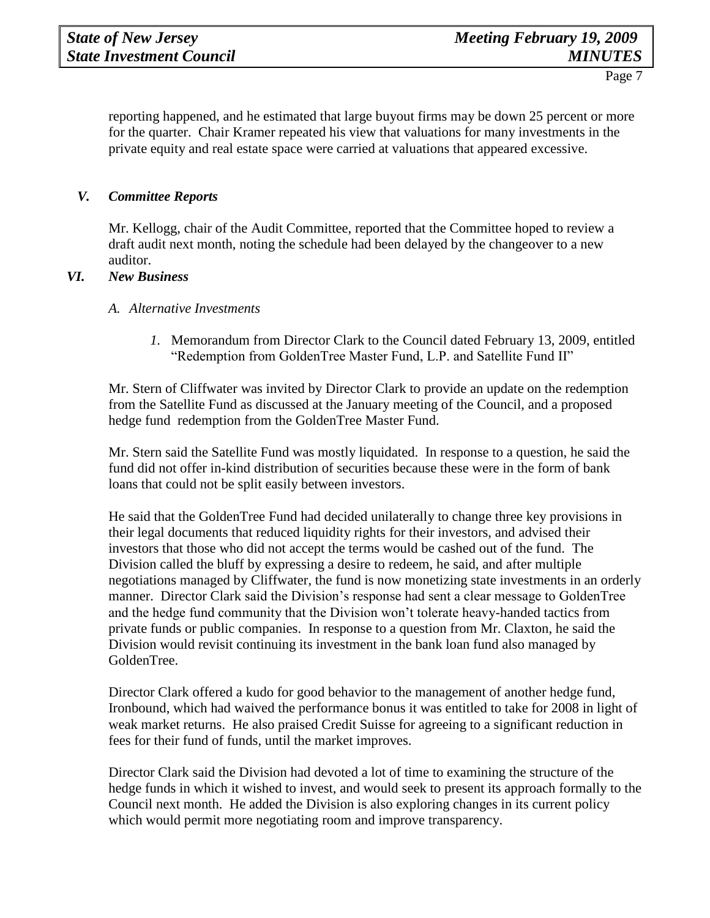reporting happened, and he estimated that large buyout firms may be down 25 percent or more for the quarter. Chair Kramer repeated his view that valuations for many investments in the private equity and real estate space were carried at valuations that appeared excessive.

#### *V. Committee Reports*

Mr. Kellogg, chair of the Audit Committee, reported that the Committee hoped to review a draft audit next month, noting the schedule had been delayed by the changeover to a new auditor.

#### *VI. New Business*

#### *A. Alternative Investments*

*1.* Memorandum from Director Clark to the Council dated February 13, 2009, entitled "Redemption from GoldenTree Master Fund, L.P. and Satellite Fund II"

Mr. Stern of Cliffwater was invited by Director Clark to provide an update on the redemption from the Satellite Fund as discussed at the January meeting of the Council, and a proposed hedge fund redemption from the GoldenTree Master Fund.

Mr. Stern said the Satellite Fund was mostly liquidated. In response to a question, he said the fund did not offer in-kind distribution of securities because these were in the form of bank loans that could not be split easily between investors.

He said that the GoldenTree Fund had decided unilaterally to change three key provisions in their legal documents that reduced liquidity rights for their investors, and advised their investors that those who did not accept the terms would be cashed out of the fund. The Division called the bluff by expressing a desire to redeem, he said, and after multiple negotiations managed by Cliffwater, the fund is now monetizing state investments in an orderly manner. Director Clark said the Division's response had sent a clear message to GoldenTree and the hedge fund community that the Division won't tolerate heavy-handed tactics from private funds or public companies. In response to a question from Mr. Claxton, he said the Division would revisit continuing its investment in the bank loan fund also managed by GoldenTree.

Director Clark offered a kudo for good behavior to the management of another hedge fund, Ironbound, which had waived the performance bonus it was entitled to take for 2008 in light of weak market returns. He also praised Credit Suisse for agreeing to a significant reduction in fees for their fund of funds, until the market improves.

Director Clark said the Division had devoted a lot of time to examining the structure of the hedge funds in which it wished to invest, and would seek to present its approach formally to the Council next month. He added the Division is also exploring changes in its current policy which would permit more negotiating room and improve transparency.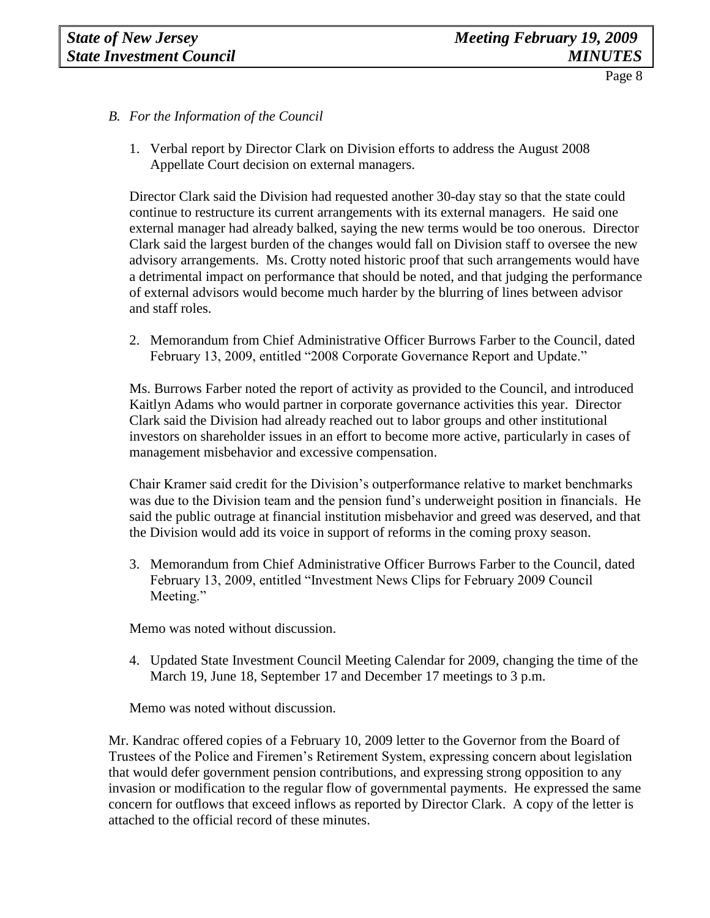- *B. For the Information of the Council*
	- 1. Verbal report by Director Clark on Division efforts to address the August 2008 Appellate Court decision on external managers.

Director Clark said the Division had requested another 30-day stay so that the state could continue to restructure its current arrangements with its external managers. He said one external manager had already balked, saying the new terms would be too onerous. Director Clark said the largest burden of the changes would fall on Division staff to oversee the new advisory arrangements. Ms. Crotty noted historic proof that such arrangements would have a detrimental impact on performance that should be noted, and that judging the performance of external advisors would become much harder by the blurring of lines between advisor and staff roles.

2. Memorandum from Chief Administrative Officer Burrows Farber to the Council, dated February 13, 2009, entitled "2008 Corporate Governance Report and Update."

Ms. Burrows Farber noted the report of activity as provided to the Council, and introduced Kaitlyn Adams who would partner in corporate governance activities this year. Director Clark said the Division had already reached out to labor groups and other institutional investors on shareholder issues in an effort to become more active, particularly in cases of management misbehavior and excessive compensation.

Chair Kramer said credit for the Division's outperformance relative to market benchmarks was due to the Division team and the pension fund's underweight position in financials. He said the public outrage at financial institution misbehavior and greed was deserved, and that the Division would add its voice in support of reforms in the coming proxy season.

3. Memorandum from Chief Administrative Officer Burrows Farber to the Council, dated February 13, 2009, entitled "Investment News Clips for February 2009 Council Meeting."

Memo was noted without discussion.

4. Updated State Investment Council Meeting Calendar for 2009, changing the time of the March 19, June 18, September 17 and December 17 meetings to 3 p.m.

Memo was noted without discussion.

Mr. Kandrac offered copies of a February 10, 2009 letter to the Governor from the Board of Trustees of the Police and Firemen's Retirement System, expressing concern about legislation that would defer government pension contributions, and expressing strong opposition to any invasion or modification to the regular flow of governmental payments. He expressed the same concern for outflows that exceed inflows as reported by Director Clark. A copy of the letter is attached to the official record of these minutes.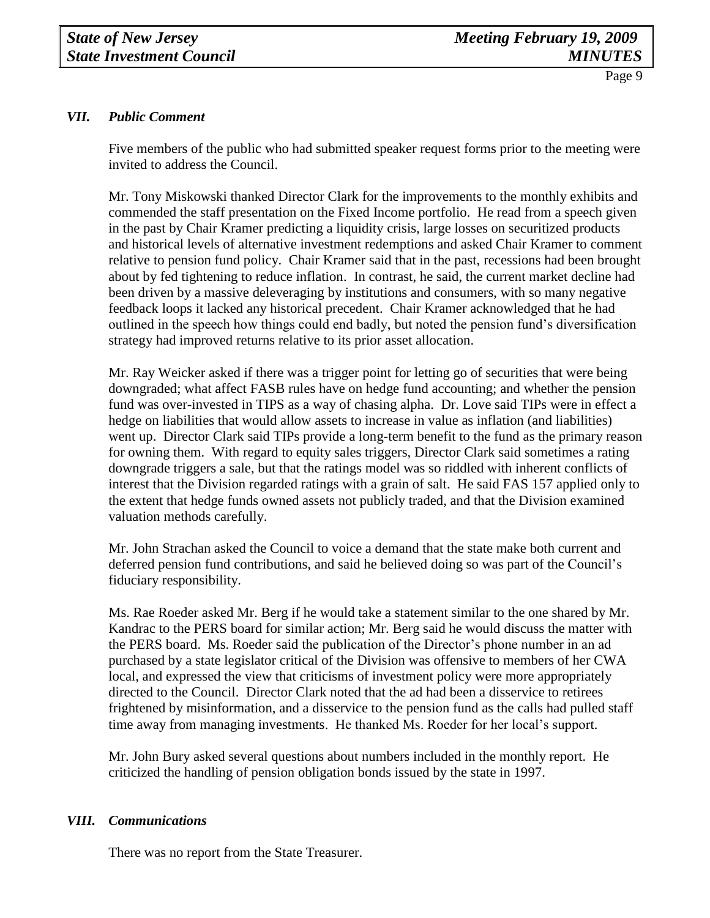## *VII. Public Comment*

Five members of the public who had submitted speaker request forms prior to the meeting were invited to address the Council.

Mr. Tony Miskowski thanked Director Clark for the improvements to the monthly exhibits and commended the staff presentation on the Fixed Income portfolio. He read from a speech given in the past by Chair Kramer predicting a liquidity crisis, large losses on securitized products and historical levels of alternative investment redemptions and asked Chair Kramer to comment relative to pension fund policy. Chair Kramer said that in the past, recessions had been brought about by fed tightening to reduce inflation. In contrast, he said, the current market decline had been driven by a massive deleveraging by institutions and consumers, with so many negative feedback loops it lacked any historical precedent. Chair Kramer acknowledged that he had outlined in the speech how things could end badly, but noted the pension fund's diversification strategy had improved returns relative to its prior asset allocation.

Mr. Ray Weicker asked if there was a trigger point for letting go of securities that were being downgraded; what affect FASB rules have on hedge fund accounting; and whether the pension fund was over-invested in TIPS as a way of chasing alpha. Dr. Love said TIPs were in effect a hedge on liabilities that would allow assets to increase in value as inflation (and liabilities) went up. Director Clark said TIPs provide a long-term benefit to the fund as the primary reason for owning them. With regard to equity sales triggers, Director Clark said sometimes a rating downgrade triggers a sale, but that the ratings model was so riddled with inherent conflicts of interest that the Division regarded ratings with a grain of salt. He said FAS 157 applied only to the extent that hedge funds owned assets not publicly traded, and that the Division examined valuation methods carefully.

Mr. John Strachan asked the Council to voice a demand that the state make both current and deferred pension fund contributions, and said he believed doing so was part of the Council's fiduciary responsibility.

Ms. Rae Roeder asked Mr. Berg if he would take a statement similar to the one shared by Mr. Kandrac to the PERS board for similar action; Mr. Berg said he would discuss the matter with the PERS board. Ms. Roeder said the publication of the Director's phone number in an ad purchased by a state legislator critical of the Division was offensive to members of her CWA local, and expressed the view that criticisms of investment policy were more appropriately directed to the Council. Director Clark noted that the ad had been a disservice to retirees frightened by misinformation, and a disservice to the pension fund as the calls had pulled staff time away from managing investments. He thanked Ms. Roeder for her local's support.

Mr. John Bury asked several questions about numbers included in the monthly report. He criticized the handling of pension obligation bonds issued by the state in 1997.

## *VIII. Communications*

There was no report from the State Treasurer.